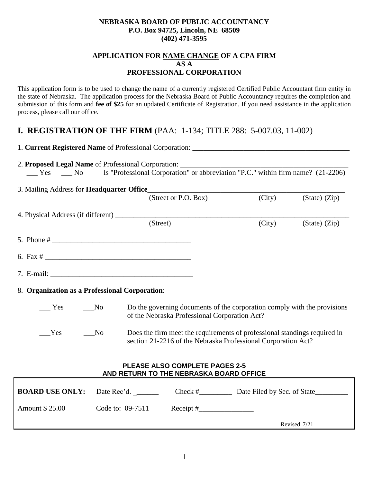### **NEBRASKA BOARD OF PUBLIC ACCOUNTANCY P.O. Box 94725, Lincoln, NE 68509 (402) 471-3595**

## **APPLICATION FOR NAME CHANGE OF A CPA FIRM AS A PROFESSIONAL CORPORATION**

This application form is to be used to change the name of a currently registered Certified Public Accountant firm entity in the state of Nebraska. The application process for the Nebraska Board of Public Accountancy requires the completion and submission of this form and **fee of \$25** for an updated Certificate of Registration. If you need assistance in the application process, please call our office.

# **I. REGISTRATION OF THE FIRM** (PAA: 1-134; TITLE 288: 5-007.03, 11-002)

| 1. Current Registered Name of Professional Corporation: _________________________ |                                                                                                             |                                                                                                                                            |                                                                          |                   |
|-----------------------------------------------------------------------------------|-------------------------------------------------------------------------------------------------------------|--------------------------------------------------------------------------------------------------------------------------------------------|--------------------------------------------------------------------------|-------------------|
|                                                                                   |                                                                                                             |                                                                                                                                            |                                                                          |                   |
|                                                                                   |                                                                                                             |                                                                                                                                            |                                                                          |                   |
| 3. Mailing Address for <b>Headquarter Office_</b>                                 |                                                                                                             |                                                                                                                                            |                                                                          |                   |
|                                                                                   |                                                                                                             | (Street or P.O. Box)                                                                                                                       | (City)                                                                   | $(State)$ $(Zip)$ |
|                                                                                   |                                                                                                             |                                                                                                                                            |                                                                          |                   |
|                                                                                   | (Street)                                                                                                    |                                                                                                                                            | (City)                                                                   | $(State)$ $(Zip)$ |
|                                                                                   |                                                                                                             |                                                                                                                                            |                                                                          |                   |
|                                                                                   |                                                                                                             |                                                                                                                                            |                                                                          |                   |
|                                                                                   |                                                                                                             |                                                                                                                                            |                                                                          |                   |
| 8. Organization as a Professional Corporation:                                    |                                                                                                             |                                                                                                                                            |                                                                          |                   |
| Yes<br>$\sqrt{N_0}$                                                               |                                                                                                             | of the Nebraska Professional Corporation Act?                                                                                              | Do the governing documents of the corporation comply with the provisions |                   |
| Yes<br>$\sqrt{N_0}$                                                               |                                                                                                             | Does the firm meet the requirements of professional standings required in<br>section 21-2216 of the Nebraska Professional Corporation Act? |                                                                          |                   |
|                                                                                   | AND RETURN TO THE NEBRASKA BOARD OFFICE                                                                     | <b>PLEASE ALSO COMPLETE PAGES 2-5</b>                                                                                                      |                                                                          |                   |
| <b>BOARD USE ONLY:</b>                                                            | Date Rec'd. $\frac{1}{\sqrt{1-\frac{1}{2}}\sqrt{1-\frac{1}{2}}\left(\frac{1}{\sqrt{1-\frac{1}{2}}}\right)}$ |                                                                                                                                            | Check #______________ Date Filed by Sec. of State___________             |                   |
| Amount \$25.00                                                                    | Code to: 09-7511                                                                                            |                                                                                                                                            |                                                                          |                   |

Revised 7/21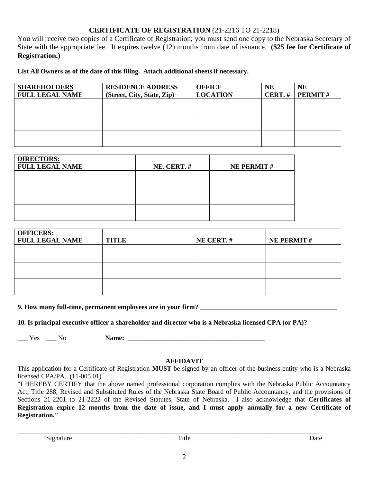## **CERTIFICATE OF REGISTRATION** (21-2216 TO 21-2218)

You will receive two copies of a Certificate of Registration; you must send one copy to the Nebraska Secretary of State with the appropriate fee. It expires twelve (12) months from date of issuance. **(\$25 fee for Certificate of Registration.)**

**List All Owners as of the date of this filing. Attach additional sheets if necessary.** 

| <b>SHAREHOLDERS</b><br><b>FULL LEGAL NAME</b> | <b>RESIDENCE ADDRESS</b><br>(Street, City, State, Zip) | <b>OFFICE</b><br><b>LOCATION</b> | <b>NE</b><br>CERT.# | <b>NE</b><br><b>PERMIT#</b> |
|-----------------------------------------------|--------------------------------------------------------|----------------------------------|---------------------|-----------------------------|
|                                               |                                                        |                                  |                     |                             |
|                                               |                                                        |                                  |                     |                             |
|                                               |                                                        |                                  |                     |                             |

| <b>DIRECTORS:</b>      |            |                   |
|------------------------|------------|-------------------|
| <b>FULL LEGAL NAME</b> | NE. CERT.# | <b>NE PERMIT#</b> |
|                        |            |                   |
|                        |            |                   |
|                        |            |                   |
|                        |            |                   |
|                        |            |                   |
|                        |            |                   |

| <b>OFFICERS:</b><br><b>FULL LEGAL NAME</b> | <b>TITLE</b> | NE CERT.# | <b>NE PERMIT#</b> |
|--------------------------------------------|--------------|-----------|-------------------|
|                                            |              |           |                   |
|                                            |              |           |                   |
|                                            |              |           |                   |

**9. How many full-time, permanent employees are in your firm?** 

**10. Is principal executive officer a shareholder and director who is a Nebraska licensed CPA (or PA)?** 

\_\_\_ Yes \_\_\_ No **Name:** \_\_\_\_\_\_\_\_\_\_\_\_\_\_\_\_\_\_\_\_\_\_\_\_\_\_\_\_\_\_\_\_\_\_\_\_\_\_\_\_\_

### **AFFIDAVIT**

This application for a Certificate of Registration **MUST** be signed by an officer of the business entity who is a Nebraska licensed CPA/PA. (11-005.01)

"I HEREBY CERTIFY that the above named professional corporation complies with the Nebraska Public Accountancy Act, Title 288, Revised and Substituted Rules of the Nebraska State Board of Public Accountancy, and the provisions of Sections 21-2201 to 21-2222 of the Revised Statutes, State of Nebraska. I also acknowledge that **Certificates of Registration expire 12 months from the date of issue, and I must apply annually for a new Certificate of Registration."**

Signature Date Date

\_\_\_\_\_\_\_\_\_\_\_\_\_\_\_\_\_\_\_\_\_\_\_\_\_\_\_\_\_\_\_\_\_\_\_\_\_\_\_\_\_\_\_\_\_\_\_\_\_\_\_\_\_\_\_\_\_\_\_\_\_\_\_\_\_\_\_\_\_\_\_\_\_\_\_\_\_\_\_\_\_\_\_\_\_\_\_\_\_\_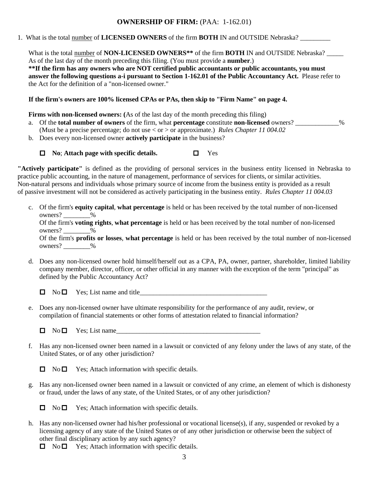## **OWNERSHIP OF FIRM:** (PAA: 1-162.01)

1. What is the total number of **LICENSED OWNERS** of the firm **BOTH** IN and OUTSIDE Nebraska? \_\_\_\_\_\_\_\_\_

What is the total number of **NON-LICENSED OWNERS**<sup>\*\*</sup> of the firm **BOTH** IN and OUTSIDE Nebraska? As of the last day of the month preceding this filing. (You must provide a **number**.) **\*\*If the firm has any owners who are NOT certified public accountants or public accountants, you must answer the following questions a-i pursuant to Section 1-162.01 of the Public Accountancy Act.** Please refer to the Act for the definition of a "non-licensed owner."

**If the firm's owners are 100% licensed CPAs or PAs, then skip to "Firm Name" on page 4.**

**Firms with non-licensed owners:** (As of the last day of the month preceding this filing)

- a. Of the **total number of owners** of the firm, what **percentage** constitute **non-licensed** owners? \_\_\_\_\_\_\_\_\_\_\_\_\_% (Must be a precise percentage; do not use < or > or approximate.) *Rules Chapter 11 004.02*
- b. Does every non-licensed owner **actively participate** in the business?

**No**; **Attach page with specific details.** Yes

**"Actively participate"** is defined as the providing of personal services in the business entity licensed in Nebraska to practice public accounting, in the nature of management, performance of services for clients, or similar activities. Non-natural persons and individuals whose primary source of income from the business entity is provided as a result of passive investment will not be considered as actively participating in the business entity. *Rules Chapter 11 004.03*

c. Of the firm's **equity capital**, **what percentage** is held or has been received by the total number of non-licensed owners?  $\frac{9}{6}$ 

Of the firm's **voting rights**, **what percentage** is held or has been received by the total number of non-licensed owners?  $\frac{9}{6}$ 

Of the firm's **profits or losses**, **what percentage** is held or has been received by the total number of non-licensed owners? \_\_\_\_\_\_\_\_%

d. Does any non-licensed owner hold himself/herself out as a CPA, PA, owner, partner, shareholder, limited liability company member, director, officer, or other official in any manner with the exception of the term "principal" as defined by the Public Accountancy Act?

 $\Box$  No  $\Box$  Yes; List name and title

e. Does any non-licensed owner have ultimate responsibility for the performance of any audit, review, or compilation of financial statements or other forms of attestation related to financial information?

f. Has any non-licensed owner been named in a lawsuit or convicted of any felony under the laws of any state, of the United States, or of any other jurisdiction?

 $\Box$  No  $\Box$  Yes; Attach information with specific details.

g. Has any non-licensed owner been named in a lawsuit or convicted of any crime, an element of which is dishonesty or fraud, under the laws of any state, of the United States, or of any other jurisdiction?

 $\Box$  No  $\Box$  Yes; Attach information with specific details.

h. Has any non-licensed owner had his/her professional or vocational license(s), if any, suspended or revoked by a licensing agency of any state of the United States or of any other jurisdiction or otherwise been the subject of other final disciplinary action by any such agency?

 $\Box$  No  $\Box$  Yes; Attach information with specific details.

 $\Box$  No  $\Box$  Yes; List name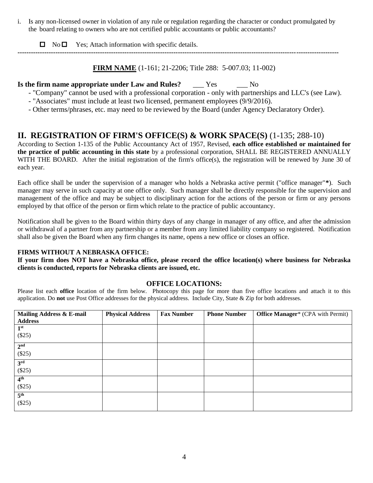i. Is any non-licensed owner in violation of any rule or regulation regarding the character or conduct promulgated by the board relating to owners who are not certified public accountants or public accountants?

 $\Box$  No  $\Box$  Yes; Attach information with specific details.

**------------------------------------------------------------------------------------------------------------------------------------------------**

**FIRM NAME** (1-161; 21-2206; Title 288: 5-007.03; 11-002)

## **Is the firm name appropriate under Law and Rules?** Yes No

- "Company" cannot be used with a professional corporation only with partnerships and LLC's (see Law).
- "Associates" must include at least two licensed, permanent employees (9/9/2016).
- Other terms/phrases, etc. may need to be reviewed by the Board (under Agency Declaratory Order).

## **II. REGISTRATION OF FIRM'S OFFICE(S) & WORK SPACE(S)** (1-135; 288-10)

According to Section 1-135 of the Public Accountancy Act of 1957, Revised, **each office established or maintained for the practice of public accounting in this state** by a professional corporation, SHALL BE REGISTERED ANNUALLY WITH THE BOARD. After the initial registration of the firm's office(s), the registration will be renewed by June 30 of each year.

Each office shall be under the supervision of a manager who holds a Nebraska active permit ("office manager"**\***). Such manager may serve in such capacity at one office only. Such manager shall be directly responsible for the supervision and management of the office and may be subject to disciplinary action for the actions of the person or firm or any persons employed by that office of the person or firm which relate to the practice of public accountancy.

Notification shall be given to the Board within thirty days of any change in manager of any office, and after the admission or withdrawal of a partner from any partnership or a member from any limited liability company so registered. Notification shall also be given the Board when any firm changes its name, opens a new office or closes an office.

### **FIRMS WITHOUT A NEBRASKA OFFICE:**

**If your firm does NOT have a Nebraska office, please record the office location(s) where business for Nebraska clients is conducted, reports for Nebraska clients are issued, etc.** 

### **OFFICE LOCATIONS:**

Please list each **office** location of the firm below. Photocopy this page for more than five office locations and attach it to this application. Do **not** use Post Office addresses for the physical address. Include City, State & Zip for both addresses.

| Mailing Address & E-mail<br><b>Address</b> | <b>Physical Address</b> | <b>Fax Number</b> | <b>Phone Number</b> | <b>Office Manager</b> * (CPA with Permit) |
|--------------------------------------------|-------------------------|-------------------|---------------------|-------------------------------------------|
| 1 <sup>st</sup><br>(\$25)                  |                         |                   |                     |                                           |
| 2 <sup>nd</sup><br>(\$25)                  |                         |                   |                     |                                           |
| 3 <sup>rd</sup><br>(\$25)                  |                         |                   |                     |                                           |
| 4 <sup>th</sup><br>(\$25)                  |                         |                   |                     |                                           |
| 5 <sup>th</sup><br>(\$25)                  |                         |                   |                     |                                           |